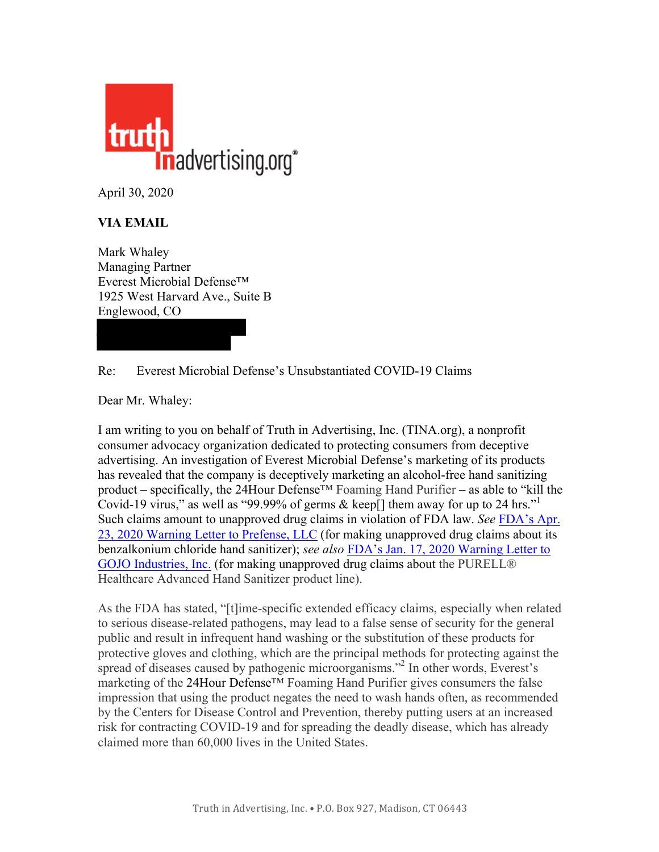

April 30, 2020

## **VIA EMAIL**

Mark Whaley Managing Partner Everest Microbial Defense™ 1925 West Harvard Ave., Suite B Englewood, CO

## Re: Everest Microbial Defense's Unsubstantiated COVID-19 Claims

Dear Mr. Whaley:

I am writing to you on behalf of Truth in Advertising, Inc. (TINA.org), a nonprofit consumer advocacy organization dedicated to protecting consumers from deceptive advertising. An investigation of Everest Microbial Defense's marketing of its products has revealed that the company is deceptively marketing an alcohol-free hand sanitizing product – specifically, the 24Hour Defense™ Foaming Hand Purifier – as able to "kill the Covid-19 virus," as well as "99.99% of germs & keep[] them away for up to 24 hrs." Such claims amount to unapproved drug claims in violation of FDA law. *See* [FDA's](https://www.fda.gov/inspections-compliance-enforcement-and-criminal-investigations/warning-letters/prefense-llc-605488-04232020) Apr. 23, 2020 Warning Letter to [Prefense,](https://www.fda.gov/inspections-compliance-enforcement-and-criminal-investigations/warning-letters/prefense-llc-605488-04232020) LLC (for making unapproved drug claims about its benzalkonium chloride hand sanitizer); *see also* FDA's Jan. 17, 2020 [Warning](https://www.fda.gov/inspections-compliance-enforcement-and-criminal-investigations/warning-letters/gojo-industries-inc-599132-01172020) Letter to GOJO [Industries,](https://www.fda.gov/inspections-compliance-enforcement-and-criminal-investigations/warning-letters/gojo-industries-inc-599132-01172020) Inc. (for making unapproved drug claims about the PURELL® Healthcare Advanced Hand Sanitizer product line).

As the FDA has stated, "[t]ime-specific extended efficacy claims, especially when related to serious disease-related pathogens, may lead to a false sense of security for the general public and result in infrequent hand washing or the substitution of these products for protective gloves and clothing, which are the principal methods for protecting against the spread of diseases caused by pathogenic microorganisms."<sup>2</sup> In other words, Everest's marketing of the 24Hour Defense™ Foaming Hand Purifier gives consumers the false impression that using the product negates the need to wash hands often, as recommended by the Centers for Disease Control and Prevention, thereby putting users at an increased risk for contracting COVID-19 and for spreading the deadly disease, which has already claimed more than 60,000 lives in the United States.